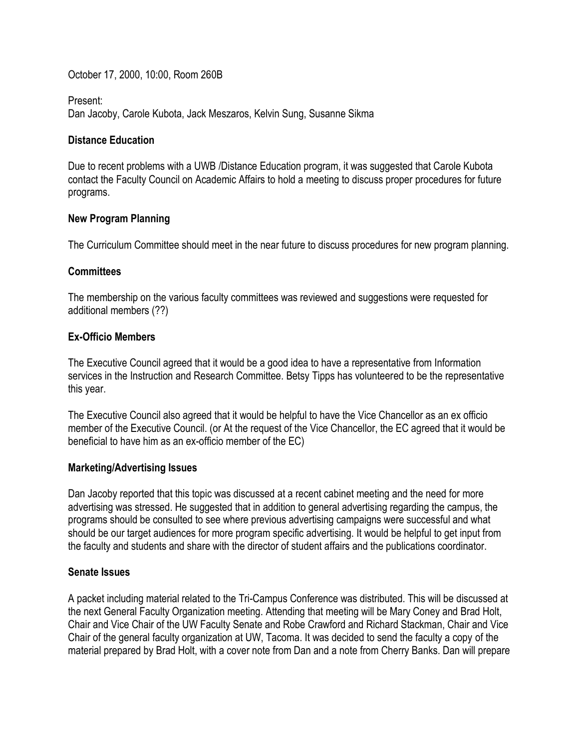October 17, 2000, 10:00, Room 260B

Present:

Dan Jacoby, Carole Kubota, Jack Meszaros, Kelvin Sung, Susanne Sikma

## **Distance Education**

Due to recent problems with a UWB /Distance Education program, it was suggested that Carole Kubota contact the Faculty Council on Academic Affairs to hold a meeting to discuss proper procedures for future programs.

## **New Program Planning**

The Curriculum Committee should meet in the near future to discuss procedures for new program planning.

# **Committees**

The membership on the various faculty committees was reviewed and suggestions were requested for additional members (??)

# **Ex-Officio Members**

The Executive Council agreed that it would be a good idea to have a representative from Information services in the Instruction and Research Committee. Betsy Tipps has volunteered to be the representative this year.

The Executive Council also agreed that it would be helpful to have the Vice Chancellor as an ex officio member of the Executive Council. (or At the request of the Vice Chancellor, the EC agreed that it would be beneficial to have him as an ex-officio member of the EC)

# **Marketing/Advertising Issues**

Dan Jacoby reported that this topic was discussed at a recent cabinet meeting and the need for more advertising was stressed. He suggested that in addition to general advertising regarding the campus, the programs should be consulted to see where previous advertising campaigns were successful and what should be our target audiences for more program specific advertising. It would be helpful to get input from the faculty and students and share with the director of student affairs and the publications coordinator.

# **Senate Issues**

A packet including material related to the Tri-Campus Conference was distributed. This will be discussed at the next General Faculty Organization meeting. Attending that meeting will be Mary Coney and Brad Holt, Chair and Vice Chair of the UW Faculty Senate and Robe Crawford and Richard Stackman, Chair and Vice Chair of the general faculty organization at UW, Tacoma. It was decided to send the faculty a copy of the material prepared by Brad Holt, with a cover note from Dan and a note from Cherry Banks. Dan will prepare